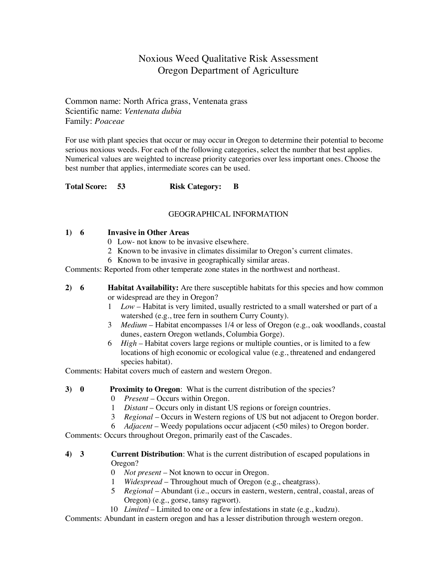### Noxious Weed Qualitative Risk Assessment Oregon Department of Agriculture

Common name: North Africa grass, Ventenata grass Scientific name: *Ventenata dubia* Family: *Poaceae*

For use with plant species that occur or may occur in Oregon to determine their potential to become serious noxious weeds. For each of the following categories, select the number that best applies. Numerical values are weighted to increase priority categories over less important ones. Choose the best number that applies, intermediate scores can be used.

**Total Score: 53 Risk Category: B**

#### GEOGRAPHICAL INFORMATION

#### **1) 6 Invasive in Other Areas**

- 0 Low- not know to be invasive elsewhere.
- 2 Known to be invasive in climates dissimilar to Oregon's current climates.
- 6 Known to be invasive in geographically similar areas.

Comments: Reported from other temperate zone states in the northwest and northeast.

- **2) 6 Habitat Availability:** Are there susceptible habitats for this species and how common or widespread are they in Oregon?
	- 1 *Low* Habitat is very limited, usually restricted to a small watershed or part of a watershed (e.g., tree fern in southern Curry County).
	- 3 *Medium* Habitat encompasses 1/4 or less of Oregon (e.g., oak woodlands, coastal dunes, eastern Oregon wetlands, Columbia Gorge).
	- 6 *High* Habitat covers large regions or multiple counties, or is limited to a few locations of high economic or ecological value (e.g., threatened and endangered species habitat).

Comments: Habitat covers much of eastern and western Oregon.

- **3) 0 Proximity to Oregon**: What is the current distribution of the species?
	- 0 *Present* Occurs within Oregon.
	- 1 *Distant* Occurs only in distant US regions or foreign countries.
	- 3 *Regional* Occurs in Western regions of US but not adjacent to Oregon border.
	- 6 *Adjacent* Weedy populations occur adjacent (<50 miles) to Oregon border.

Comments: Occurs throughout Oregon, primarily east of the Cascades.

#### **4) 3 Current Distribution**: What is the current distribution of escaped populations in Oregon?

- 0 *Not present* Not known to occur in Oregon.
- 1 *Widespread* Throughout much of Oregon (e.g., cheatgrass).
- 5 *Regional* Abundant (i.e., occurs in eastern, western, central, coastal, areas of Oregon) (e.g., gorse, tansy ragwort).
- 10 *Limited* Limited to one or a few infestations in state (e.g., kudzu).

Comments: Abundant in eastern oregon and has a lesser distribution through western oregon.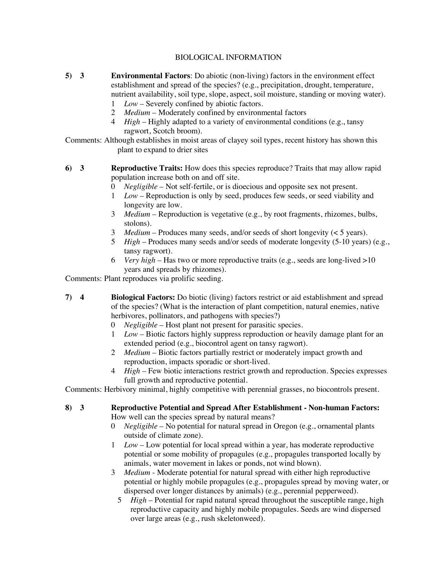#### BIOLOGICAL INFORMATION

- **5) 3 Environmental Factors**: Do abiotic (non-living) factors in the environment effect establishment and spread of the species? (e.g., precipitation, drought, temperature, nutrient availability, soil type, slope, aspect, soil moisture, standing or moving water).
	- 1 *Low* Severely confined by abiotic factors.
	- 2 *Medium* Moderately confined by environmental factors
	- 4 *High* Highly adapted to a variety of environmental conditions (e.g., tansy ragwort, Scotch broom).

Comments: Although establishes in moist areas of clayey soil types, recent history has shown this plant to expand to drier sites

- **6) 3 Reproductive Traits:** How does this species reproduce? Traits that may allow rapid population increase both on and off site.
	- 0 *Negligible* Not self-fertile, or is dioecious and opposite sex not present.
	- 1 *Low* Reproduction is only by seed, produces few seeds, or seed viability and longevity are low.
	- 3 *Medium* Reproduction is vegetative (e.g., by root fragments, rhizomes, bulbs, stolons).
	- 3 *Medium* Produces many seeds, and/or seeds of short longevity (< 5 years).
	- 5 *High* Produces many seeds and/or seeds of moderate longevity (5-10 years) (e.g., tansy ragwort).
	- 6 *Very high* Has two or more reproductive traits (e.g., seeds are long-lived >10 years and spreads by rhizomes).

Comments: Plant reproduces via prolific seeding.

- **7) 4 Biological Factors:** Do biotic (living) factors restrict or aid establishment and spread of the species? (What is the interaction of plant competition, natural enemies, native herbivores, pollinators, and pathogens with species?)
	- 0 *Negligible* Host plant not present for parasitic species.
	- 1 *Low* Biotic factors highly suppress reproduction or heavily damage plant for an extended period (e.g., biocontrol agent on tansy ragwort).
	- 2 *Medium* Biotic factors partially restrict or moderately impact growth and reproduction, impacts sporadic or short-lived.
	- 4 *High* Few biotic interactions restrict growth and reproduction. Species expresses full growth and reproductive potential.

Comments: Herbivory minimal, highly competitive with perennial grasses, no biocontrols present.

## **8) 3 Reproductive Potential and Spread After Establishment - Non-human Factors:**

How well can the species spread by natural means?

- 0 *Negligible*  No potential for natural spread in Oregon (e.g., ornamental plants outside of climate zone).
- 1 *Low* Low potential for local spread within a year, has moderate reproductive potential or some mobility of propagules (e.g., propagules transported locally by animals, water movement in lakes or ponds, not wind blown).
- 3 *Medium* Moderate potential for natural spread with either high reproductive potential or highly mobile propagules (e.g., propagules spread by moving water, or dispersed over longer distances by animals) (e.g., perennial pepperweed).
	- 5 *High*  Potential for rapid natural spread throughout the susceptible range, high reproductive capacity and highly mobile propagules. Seeds are wind dispersed over large areas (e.g., rush skeletonweed).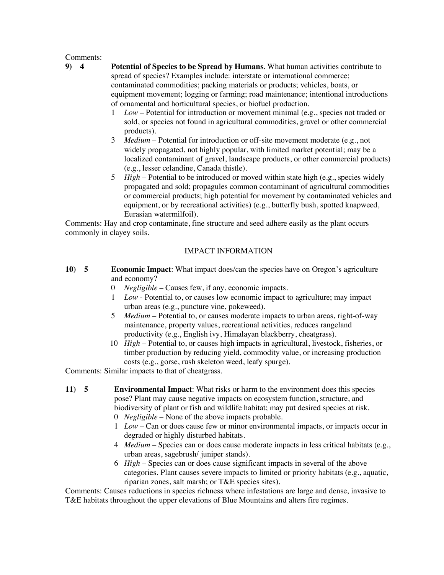# Comments:<br>9)  $4$

- **9) 4 Potential of Species to be Spread by Humans**. What human activities contribute to spread of species? Examples include: interstate or international commerce; contaminated commodities; packing materials or products; vehicles, boats, or equipment movement; logging or farming; road maintenance; intentional introductions of ornamental and horticultural species, or biofuel production.
	- 1 *Low* Potential for introduction or movement minimal (e.g., species not traded or sold, or species not found in agricultural commodities, gravel or other commercial products).
	- 3 *Medium*  Potential for introduction or off-site movement moderate (e.g., not widely propagated, not highly popular, with limited market potential; may be a localized contaminant of gravel, landscape products, or other commercial products) (e.g., lesser celandine, Canada thistle).
	- 5 *High*  Potential to be introduced or moved within state high (e.g., species widely propagated and sold; propagules common contaminant of agricultural commodities or commercial products; high potential for movement by contaminated vehicles and equipment, or by recreational activities) (e.g., butterfly bush, spotted knapweed, Eurasian watermilfoil).

Comments: Hay and crop contaminate, fine structure and seed adhere easily as the plant occurs commonly in clayey soils.

#### IMPACT INFORMATION

- **10) 5 Economic Impact**: What impact does/can the species have on Oregon's agriculture and economy?
	- 0 *Negligible* Causes few, if any, economic impacts.
	- 1 *Low* Potential to, or causes low economic impact to agriculture; may impact urban areas (e.g., puncture vine, pokeweed).
	- 5 *Medium* Potential to, or causes moderate impacts to urban areas, right-of-way maintenance, property values, recreational activities, reduces rangeland productivity (e.g., English ivy, Himalayan blackberry, cheatgrass).
	- 10 *High*  Potential to, or causes high impacts in agricultural, livestock, fisheries, or timber production by reducing yield, commodity value, or increasing production costs (e.g., gorse, rush skeleton weed, leafy spurge).

Comments: Similar impacts to that of cheatgrass.

- **11) 5 Environmental Impact**: What risks or harm to the environment does this species pose? Plant may cause negative impacts on ecosystem function, structure, and biodiversity of plant or fish and wildlife habitat; may put desired species at risk.
	- 0 *Negligible*  None of the above impacts probable.
	- 1 *Low* Can or does cause few or minor environmental impacts, or impacts occur in degraded or highly disturbed habitats.
	- 4 *Medium*  Species can or does cause moderate impacts in less critical habitats (e.g., urban areas, sagebrush/ juniper stands).
	- 6 *High*  Species can or does cause significant impacts in several of the above categories. Plant causes severe impacts to limited or priority habitats (e.g., aquatic, riparian zones, salt marsh; or T&E species sites).

Comments: Causes reductions in species richness where infestations are large and dense, invasive to T&E habitats throughout the upper elevations of Blue Mountains and alters fire regimes.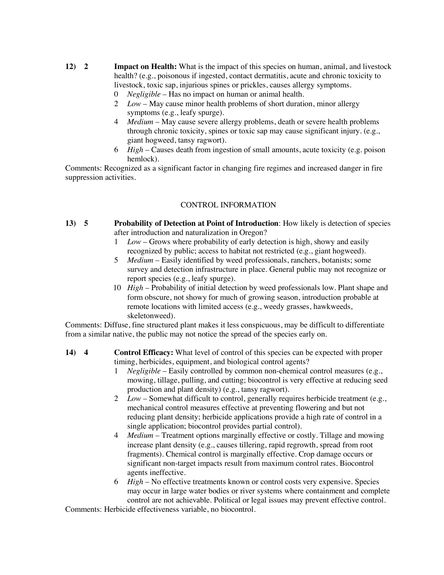- **12) 2 Impact on Health:** What is the impact of this species on human, animal, and livestock health? (e.g., poisonous if ingested, contact dermatitis, acute and chronic toxicity to livestock, toxic sap, injurious spines or prickles, causes allergy symptoms.
	- 0 *Negligible* Has no impact on human or animal health.
	- 2 *Low*  May cause minor health problems of short duration, minor allergy symptoms (e.g., leafy spurge).
	- 4 *Medium*  May cause severe allergy problems, death or severe health problems through chronic toxicity, spines or toxic sap may cause significant injury. (e.g., giant hogweed, tansy ragwort).
	- 6 *High* Causes death from ingestion of small amounts, acute toxicity (e.g. poison hemlock).

Comments: Recognized as a significant factor in changing fire regimes and increased danger in fire suppression activities.

#### CONTROL INFORMATION

- **13) 5 Probability of Detection at Point of Introduction**: How likely is detection of species after introduction and naturalization in Oregon?
	- 1 *Low*  Grows where probability of early detection is high, showy and easily recognized by public; access to habitat not restricted (e.g., giant hogweed).
	- 5 *Medium* Easily identified by weed professionals, ranchers, botanists; some survey and detection infrastructure in place. General public may not recognize or report species (e.g., leafy spurge).
	- 10 *High* Probability of initial detection by weed professionals low. Plant shape and form obscure, not showy for much of growing season, introduction probable at remote locations with limited access (e.g., weedy grasses, hawkweeds, skeletonweed).

Comments: Diffuse, fine structured plant makes it less conspicuous, may be difficult to differentiate from a similar native, the public may not notice the spread of the species early on.

- **14) 4 Control Efficacy:** What level of control of this species can be expected with proper timing, herbicides, equipment, and biological control agents?
	- 1 *Negligible* Easily controlled by common non-chemical control measures (e.g., mowing, tillage, pulling, and cutting; biocontrol is very effective at reducing seed production and plant density) (e.g., tansy ragwort).
	- 2 *Low*  Somewhat difficult to control, generally requires herbicide treatment (e.g., mechanical control measures effective at preventing flowering and but not reducing plant density; herbicide applications provide a high rate of control in a single application; biocontrol provides partial control).
	- 4 *Medium*  Treatment options marginally effective or costly. Tillage and mowing increase plant density (e.g., causes tillering, rapid regrowth, spread from root fragments). Chemical control is marginally effective. Crop damage occurs or significant non-target impacts result from maximum control rates. Biocontrol agents ineffective.
	- 6 *High* No effective treatments known or control costs very expensive. Species may occur in large water bodies or river systems where containment and complete control are not achievable. Political or legal issues may prevent effective control.

Comments: Herbicide effectiveness variable, no biocontrol.